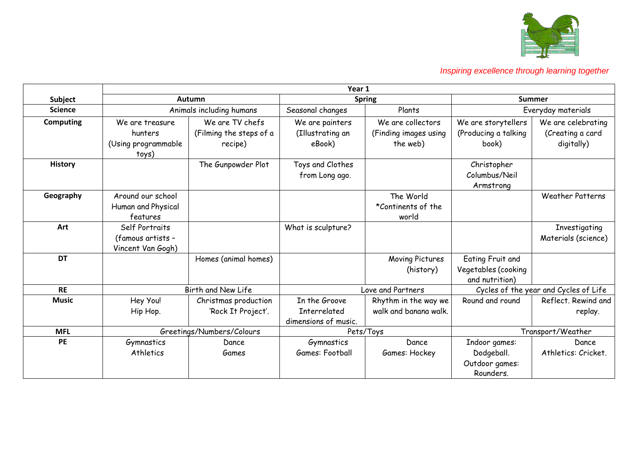

|                  | Year 1                                                     |                                                       |                                                       |                                                        |                                                            |                                                      |
|------------------|------------------------------------------------------------|-------------------------------------------------------|-------------------------------------------------------|--------------------------------------------------------|------------------------------------------------------------|------------------------------------------------------|
| Subject          |                                                            | <b>Spring</b><br>Autumn                               |                                                       |                                                        | <b>Summer</b>                                              |                                                      |
| <b>Science</b>   |                                                            | Animals including humans                              | Seasonal changes                                      | Plants                                                 | Everyday materials                                         |                                                      |
| <b>Computing</b> | We are treasure<br>hunters<br>(Using programmable<br>toys) | We are TV chefs<br>(Filming the steps of a<br>recipe) | We are painters<br>(Illustrating an<br>eBook)         | We are collectors<br>(Finding images using<br>the web) | We are storytellers<br>(Producing a talking<br>book)       | We are celebrating<br>(Creating a card<br>digitally) |
| <b>History</b>   |                                                            | The Gunpowder Plot                                    | Toys and Clothes<br>from Long ago.                    |                                                        | Christopher<br>Columbus/Neil<br>Armstrong                  |                                                      |
| Geography        | Around our school<br>Human and Physical<br>features        |                                                       |                                                       | The World<br>*Continents of the<br>world               |                                                            | <b>Weather Patterns</b>                              |
| Art              | Self Portraits<br>(famous artists -<br>Vincent Van Gogh)   |                                                       | What is sculpture?                                    |                                                        |                                                            | Investigating<br>Materials (science)                 |
| <b>DT</b>        |                                                            | Homes (animal homes)                                  |                                                       | Moving Pictures<br>(history)                           | Eating Fruit and<br>Vegetables (cooking<br>and nutrition)  |                                                      |
| <b>RE</b>        |                                                            | Birth and New Life                                    | Love and Partners                                     |                                                        | Cycles of the year and Cycles of Life                      |                                                      |
| <b>Music</b>     | Hey You!<br>Hip Hop.                                       | Christmas production<br>'Rock It Project'.            | In the Groove<br>Interrelated<br>dimensions of music. | Rhythm in the way we<br>walk and banana walk.          | Round and round                                            | Reflect, Rewind and<br>replay.                       |
| <b>MFL</b>       | Greetings/Numbers/Colours                                  |                                                       | Pets/Toys                                             |                                                        |                                                            | Transport/Weather                                    |
| <b>PE</b>        | Gymnastics<br>Athletics                                    | Dance<br>Games                                        | Gymnastics<br>Games: Football                         | Dance<br>Games: Hockey                                 | Indoor games:<br>Dodgeball.<br>Outdoor games:<br>Rounders. | Dance<br>Athletics: Cricket.                         |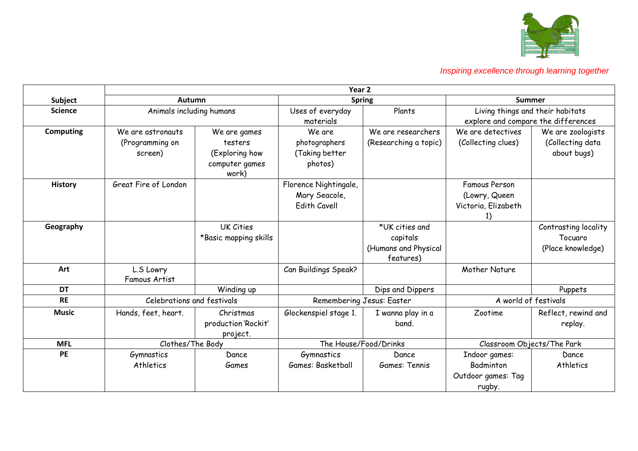

|                  | Year <sub>2</sub>                               |                                                                      |                                                               |                                                                 |                                                              |                                                                         |
|------------------|-------------------------------------------------|----------------------------------------------------------------------|---------------------------------------------------------------|-----------------------------------------------------------------|--------------------------------------------------------------|-------------------------------------------------------------------------|
| <b>Subject</b>   | Autumn                                          |                                                                      | <b>Spring</b>                                                 |                                                                 | <b>Summer</b>                                                |                                                                         |
| <b>Science</b>   | Animals including humans                        |                                                                      | Uses of everyday<br>materials                                 | Plants                                                          |                                                              | Living things and their habitats<br>explore and compare the differences |
| <b>Computing</b> | We are astronauts<br>(Programming on<br>screen) | We are games<br>testers<br>(Exploring how<br>computer games<br>work) | We are<br>photographers<br>(Taking better<br>photos)          | We are researchers<br>(Researching a topic)                     | We are detectives<br>(Collecting clues)                      | We are zoologists<br>(Collecting data<br>about bugs)                    |
| <b>History</b>   | Great Fire of London                            |                                                                      | Florence Nightingale,<br>Mary Seacole,<br><b>Edith Cavell</b> |                                                                 | <b>Famous Person</b><br>(Lowry, Queen<br>Victoria, Elizabeth |                                                                         |
| Geography        |                                                 | <b>UK Cities</b><br>*Basic mapping skills                            |                                                               | *UK cities and<br>capitals<br>(Humans and Physical<br>features) |                                                              | Contrasting locality<br>Tocuaro<br>(Place knowledge)                    |
| Art              | L.S Lowry<br><b>Famous Artist</b>               |                                                                      | Can Buildings Speak?                                          |                                                                 | Mother Nature                                                |                                                                         |
| <b>DT</b>        |                                                 | Winding up                                                           |                                                               | Dips and Dippers                                                |                                                              | Puppets                                                                 |
| <b>RE</b>        | Celebrations and festivals                      |                                                                      | Remembering Jesus: Easter                                     |                                                                 | A world of festivals                                         |                                                                         |
| <b>Music</b>     | Hands, feet, heart.                             | Christmas<br>production 'Rockit'<br>project.                         | Glockenspiel stage 1.                                         | I wanna play in a<br>band.                                      | Zootime                                                      | Reflect, rewind and<br>replay.                                          |
| <b>MFL</b>       | Clothes/The Body                                |                                                                      | The House/Food/Drinks                                         |                                                                 | Classroom Objects/The Park                                   |                                                                         |
| <b>PE</b>        | Gymnastics<br>Athletics                         | Dance<br>Games                                                       | Gymnastics<br>Games: Basketball                               | Dance<br>Games: Tennis                                          | Indoor games:<br>Badminton<br>Outdoor games: Tag<br>rugby.   | Dance<br>Athletics                                                      |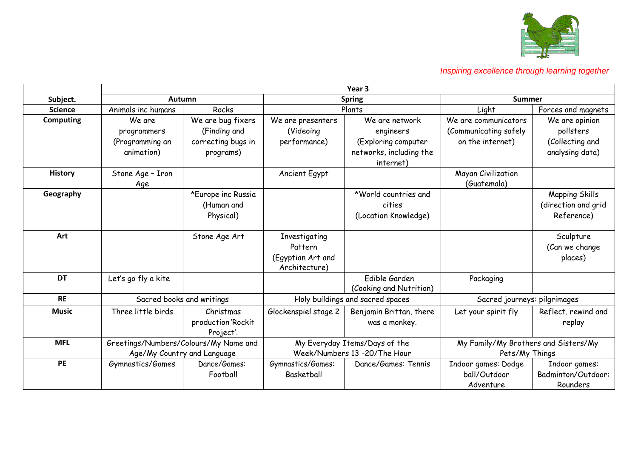

|                  | Year <sub>3</sub>                                                    |                                                                      |                                                                |                                                                                            |                                                                   |                                                                   |
|------------------|----------------------------------------------------------------------|----------------------------------------------------------------------|----------------------------------------------------------------|--------------------------------------------------------------------------------------------|-------------------------------------------------------------------|-------------------------------------------------------------------|
| Subject.         |                                                                      | Autumn                                                               |                                                                | <b>Spring</b>                                                                              |                                                                   | <b>Summer</b>                                                     |
| <b>Science</b>   | Animals inc humans                                                   | Rocks                                                                |                                                                | Plants                                                                                     |                                                                   | Forces and magnets                                                |
| <b>Computing</b> | We are<br>programmers<br>(Programming an<br>animation)               | We are bug fixers<br>(Finding and<br>correcting bugs in<br>programs) | We are presenters<br>(Videoing)<br>performance)                | We are network<br>engineers<br>(Exploring computer<br>networks, including the<br>internet) | We are communicators<br>(Communicating safely<br>on the internet) | We are opinion<br>pollsters<br>(Collecting and<br>analysing data) |
| <b>History</b>   | Stone Age - Iron<br>Age                                              |                                                                      | Ancient Egypt                                                  |                                                                                            | Mayan Civilization<br>(Guatemala)                                 |                                                                   |
| Geography        |                                                                      | *Europe inc Russia<br>(Human and<br>Physical)                        |                                                                | *World countries and<br>cities<br>(Location Knowledge)                                     |                                                                   | Mapping Skills<br>(direction and grid<br>Reference)               |
| Art              |                                                                      | Stone Age Art                                                        | Investigating<br>Pattern<br>(Egyptian Art and<br>Architecture) |                                                                                            |                                                                   | Sculpture<br>(Can we change<br>places)                            |
| <b>DT</b>        | Let's go fly a kite                                                  |                                                                      |                                                                | Edible Garden<br>(Cooking and Nutrition)                                                   | Packaging                                                         |                                                                   |
| <b>RE</b>        | Sacred books and writings                                            |                                                                      | Holy buildings and sacred spaces                               |                                                                                            | Sacred journeys: pilgrimages                                      |                                                                   |
| <b>Music</b>     | Three little birds                                                   | Christmas<br>production 'Rockit<br>Project'.                         | Glockenspiel stage 2                                           | Benjamin Brittan, there<br>was a monkey.                                                   | Let your spirit fly                                               | Reflect. rewind and<br>replay                                     |
| <b>MFL</b>       | Greetings/Numbers/Colours/My Name and<br>Age/My Country and Language |                                                                      | My Everyday Items/Days of the<br>Week/Numbers 13 -20/The Hour  |                                                                                            | My Family/My Brothers and Sisters/My<br>Pets/My Things            |                                                                   |
| PE               | Gymnastics/Games                                                     | Dance/Games:<br>Football                                             | Gymnastics/Games:<br><b>Basketball</b>                         | Dance/Games: Tennis                                                                        | Indoor games: Dodge<br>ball/Outdoor<br>Adventure                  | Indoor games:<br>Badminton/Outdoor:<br>Rounders                   |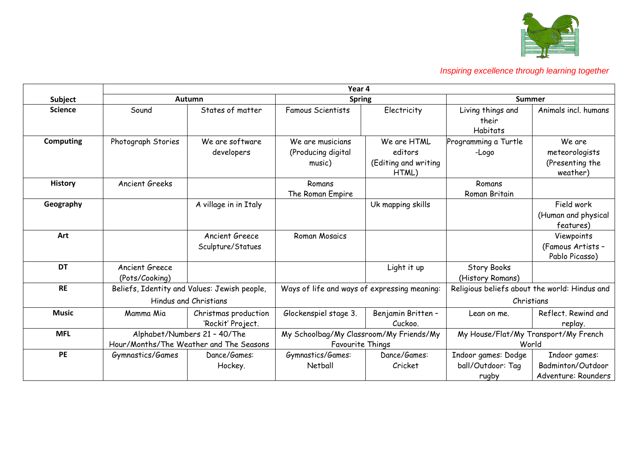

|                  | Year 4                                                                  |                                           |                                                                    |                                                         |                                                             |                                                           |  |
|------------------|-------------------------------------------------------------------------|-------------------------------------------|--------------------------------------------------------------------|---------------------------------------------------------|-------------------------------------------------------------|-----------------------------------------------------------|--|
| Subject          |                                                                         | <b>Autumn</b>                             |                                                                    | <b>Spring</b>                                           |                                                             | <b>Summer</b>                                             |  |
| <b>Science</b>   | Sound                                                                   | States of matter                          | <b>Famous Scientists</b>                                           | Electricity                                             | Living things and<br>their<br>Habitats                      | Animals incl. humans                                      |  |
| <b>Computing</b> | Photograph Stories                                                      | We are software<br>developers             | We are musicians<br>(Producing digital<br>music)                   | We are HTML<br>editors<br>(Editing and writing<br>HTML) | Programming a Turtle<br>-Logo                               | We are<br>meteorologists<br>(Presenting the<br>weather)   |  |
| <b>History</b>   | Ancient Greeks                                                          |                                           | Romans<br>The Roman Empire                                         |                                                         | Romans<br>Roman Britain                                     |                                                           |  |
| Geography        |                                                                         | A village in in Italy                     |                                                                    | Uk mapping skills                                       |                                                             | Field work<br>(Human and physical<br>features)            |  |
| Art              |                                                                         | Ancient Greece<br>Sculpture/Statues       | Roman Mosaics                                                      |                                                         |                                                             | Viewpoints<br>(Famous Artists -<br>Pablo Picasso)         |  |
| <b>DT</b>        | <b>Ancient Greece</b><br>(Pots/Cooking)                                 |                                           |                                                                    | Light it up                                             | <b>Story Books</b><br>(History Romans)                      |                                                           |  |
| <b>RE</b>        | Beliefs, Identity and Values: Jewish people,<br>Hindus and Christians   |                                           | Ways of life and ways of expressing meaning:                       |                                                         | Religious beliefs about the world: Hindus and<br>Christians |                                                           |  |
| <b>Music</b>     | Mamma Mia                                                               | Christmas production<br>'Rockit' Project. | Glockenspiel stage 3.                                              | Benjamin Britten -<br>Cuckoo.                           | Lean on me.                                                 | Reflect, Rewind and<br>replay.                            |  |
| <b>MFL</b>       | Alphabet/Numbers 21 - 40/The<br>Hour/Months/The Weather and The Seasons |                                           | My Schoolbag/My Classroom/My Friends/My<br><b>Favourite Things</b> |                                                         | My House/Flat/My Transport/My French<br>World               |                                                           |  |
| PE               | Gymnastics/Games                                                        | Dance/Games:<br>Hockey.                   | Gymnastics/Games:<br>Netball                                       | Dance/Games:<br>Cricket                                 | Indoor games: Dodge<br>ball/Outdoor: Tag<br>rugby           | Indoor games:<br>Badminton/Outdoor<br>Adventure: Rounders |  |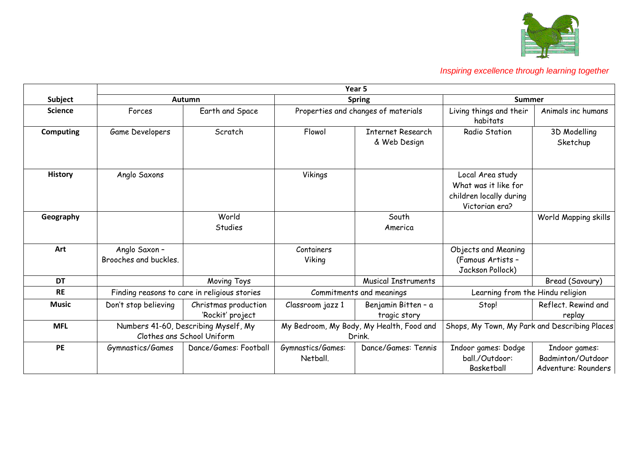

|                  | Year 5                                                             |                                          |                                                    |                                     |                                                                                       |                                                           |  |
|------------------|--------------------------------------------------------------------|------------------------------------------|----------------------------------------------------|-------------------------------------|---------------------------------------------------------------------------------------|-----------------------------------------------------------|--|
| Subject          |                                                                    | <b>Autumn</b>                            |                                                    | <b>Spring</b>                       |                                                                                       | Summer                                                    |  |
| <b>Science</b>   | Forces                                                             | Earth and Space                          | Properties and changes of materials                |                                     | Living things and their<br>habitats                                                   | Animals inc humans                                        |  |
| <b>Computing</b> | Game Developers                                                    | Scratch                                  | Flowol                                             | Internet Research<br>& Web Design   | Radio Station                                                                         | 3D Modelling<br>Sketchup                                  |  |
| <b>History</b>   | Anglo Saxons                                                       |                                          | Vikings                                            |                                     | Local Area study<br>What was it like for<br>children locally during<br>Victorian era? |                                                           |  |
| Geography        |                                                                    | World<br>Studies                         |                                                    | South<br>America                    |                                                                                       | World Mapping skills                                      |  |
| Art              | Anglo Saxon -<br>Brooches and buckles.                             |                                          | Containers<br>Viking                               |                                     | Objects and Meaning<br>(Famous Artists -<br>Jackson Pollock)                          |                                                           |  |
| <b>DT</b>        |                                                                    | Moving Toys                              |                                                    | <b>Musical Instruments</b>          |                                                                                       | Bread (Savoury)                                           |  |
| <b>RE</b>        | Finding reasons to care in religious stories                       |                                          | Commitments and meanings                           |                                     | Learning from the Hindu religion                                                      |                                                           |  |
| <b>Music</b>     | Don't stop believing                                               | Christmas production<br>'Rockit' project | Classroom jazz 1                                   | Benjamin Bitten - a<br>tragic story | Stop!                                                                                 | Reflect. Rewind and<br>replay                             |  |
| <b>MFL</b>       | Numbers 41-60, Describing Myself, My<br>Clothes ans School Uniform |                                          | My Bedroom, My Body, My Health, Food and<br>Drink. |                                     | Shops, My Town, My Park and Describing Places                                         |                                                           |  |
| <b>PE</b>        | Gymnastics/Games                                                   | Dance/Games: Football                    | Gymnastics/Games:<br>Netball.                      | Dance/Games: Tennis                 | Indoor games: Dodge<br>ball./Outdoor:<br>Basketball                                   | Indoor games:<br>Badminton/Outdoor<br>Adventure: Rounders |  |